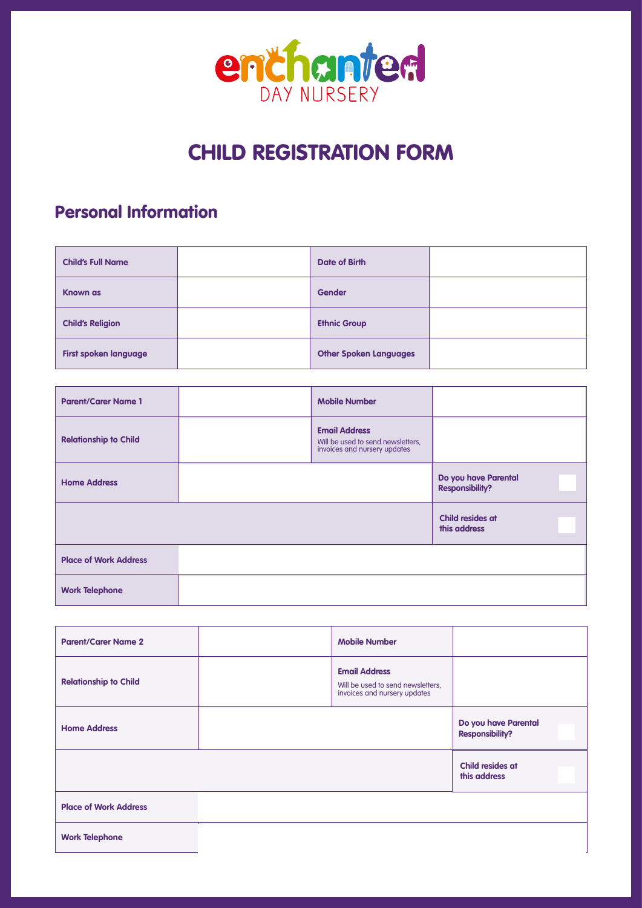

# CHILD REGISTRATION FORM

# Personal Information

| <b>Child's Full Name</b>     | Date of Birth                 |  |
|------------------------------|-------------------------------|--|
| <b>Known as</b>              | <b>Gender</b>                 |  |
| <b>Child's Religion</b>      | <b>Ethnic Group</b>           |  |
| <b>First spoken language</b> | <b>Other Spoken Languages</b> |  |

| <b>Parent/Carer Name 1</b>   | <b>Mobile Number</b>                                                                      |                                                |
|------------------------------|-------------------------------------------------------------------------------------------|------------------------------------------------|
| <b>Relationship to Child</b> | <b>Email Address</b><br>Will be used to send newsletters,<br>invoices and nursery updates |                                                |
| <b>Home Address</b>          |                                                                                           | Do you have Parental<br><b>Responsibility?</b> |
|                              |                                                                                           | Child resides at<br>this address               |
| <b>Place of Work Address</b> |                                                                                           |                                                |
| <b>Work Telephone</b>        |                                                                                           |                                                |

| <b>Parent/Carer Name 2</b>   | <b>Mobile Number</b>                                                                      |                                                |
|------------------------------|-------------------------------------------------------------------------------------------|------------------------------------------------|
| <b>Relationship to Child</b> | <b>Email Address</b><br>Will be used to send newsletters,<br>invoices and nursery updates |                                                |
| <b>Home Address</b>          |                                                                                           | Do you have Parental<br><b>Responsibility?</b> |
|                              |                                                                                           | Child resides at<br>this address               |
| <b>Place of Work Address</b> |                                                                                           |                                                |
| <b>Work Telephone</b>        |                                                                                           |                                                |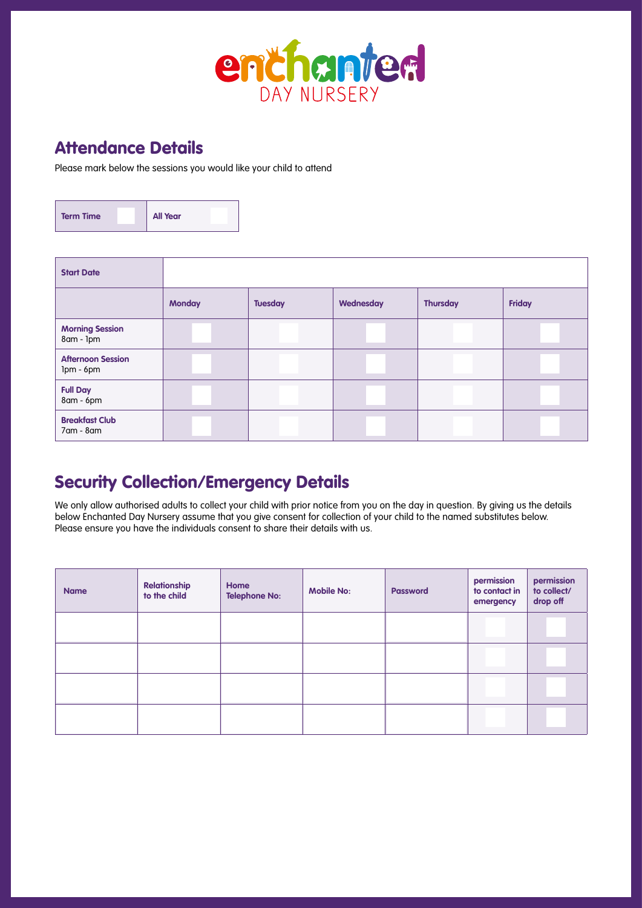

### Attendance Details

Please mark below the sessions you would like your child to attend

| <b>Term Time</b> | <b>All Year</b> |
|------------------|-----------------|
|                  |                 |

| <b>Start Date</b>                     |               |                |           |                 |        |
|---------------------------------------|---------------|----------------|-----------|-----------------|--------|
|                                       | <b>Monday</b> | <b>Tuesday</b> | Wednesday | <b>Thursday</b> | Friday |
| <b>Morning Session</b><br>8am - Ipm   |               |                |           |                 |        |
| <b>Afternoon Session</b><br>Ipm - 6pm |               |                |           |                 |        |
| <b>Full Day</b><br>8am - 6pm          |               |                |           |                 |        |
| <b>Breakfast Club</b><br>7am - 8am    |               |                |           |                 |        |

## Security Collection/Emergency Details

We only allow authorised adults to collect your child with prior notice from you on the day in question. By giving us the details below Enchanted Day Nursery assume that you give consent for collection of your child to the named substitutes below. Please ensure you have the individuals consent to share their details with us.

| <b>Name</b> | <b>Relationship</b><br>to the child | Home<br><b>Telephone No:</b> | <b>Mobile No:</b> | <b>Password</b> | permission<br>to contact in<br>emergency | permission<br>to collect/<br>drop off |
|-------------|-------------------------------------|------------------------------|-------------------|-----------------|------------------------------------------|---------------------------------------|
|             |                                     |                              |                   |                 |                                          |                                       |
|             |                                     |                              |                   |                 |                                          |                                       |
|             |                                     |                              |                   |                 |                                          |                                       |
|             |                                     |                              |                   |                 |                                          |                                       |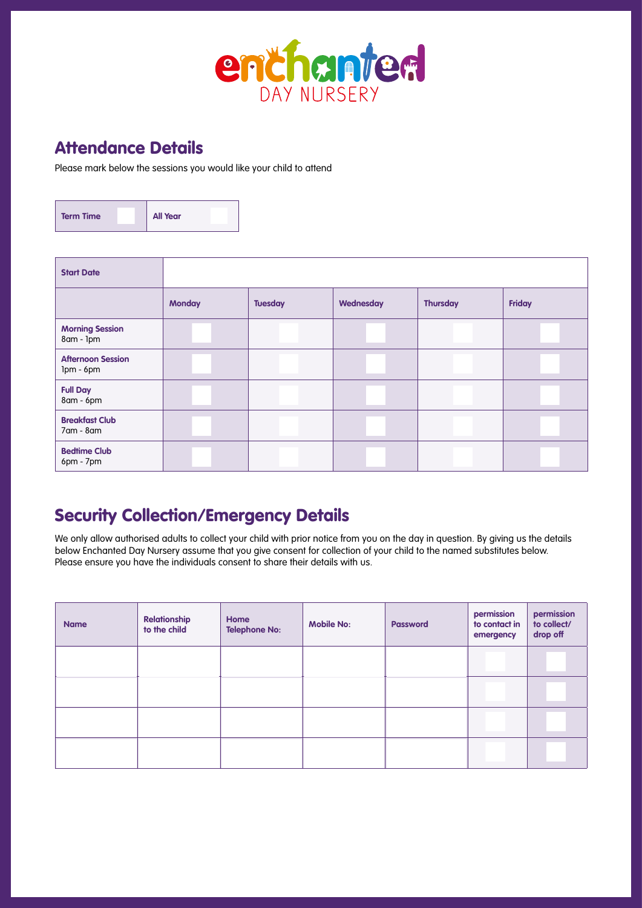

### Attendance Details

Please mark below the sessions you would like your child to attend

| <b>Term Time</b> | <b>All Year</b> |
|------------------|-----------------|
|                  |                 |

| <b>Start Date</b>                     |               |                |           |                 |        |
|---------------------------------------|---------------|----------------|-----------|-----------------|--------|
|                                       | <b>Monday</b> | <b>Tuesday</b> | Wednesday | <b>Thursday</b> | Friday |
| <b>Morning Session</b><br>8am - 1pm   |               |                |           |                 |        |
| <b>Afternoon Session</b><br>Ipm - 6pm |               |                |           |                 |        |
| <b>Full Day</b><br>8am - 6pm          |               |                |           |                 |        |
| <b>Breakfast Club</b><br>7am - 8am    |               |                |           |                 |        |
| <b>Bedtime Club</b><br>6pm - 7pm      |               |                |           |                 |        |

#### Security Collection/Emergency Details

We only allow authorised adults to collect your child with prior notice from you on the day in question. By giving us the details below Enchanted Day Nursery assume that you give consent for collection of your child to the named substitutes below. Please ensure you have the individuals consent to share their details with us.

| <b>Name</b> | <b>Relationship</b><br>to the child | Home<br><b>Telephone No:</b> | <b>Mobile No:</b> | <b>Password</b> | permission<br>to contact in<br>emergency | permission<br>to collect/<br>drop off |
|-------------|-------------------------------------|------------------------------|-------------------|-----------------|------------------------------------------|---------------------------------------|
|             |                                     |                              |                   |                 |                                          |                                       |
|             |                                     |                              |                   |                 |                                          |                                       |
|             |                                     |                              |                   |                 |                                          |                                       |
|             |                                     |                              |                   |                 |                                          |                                       |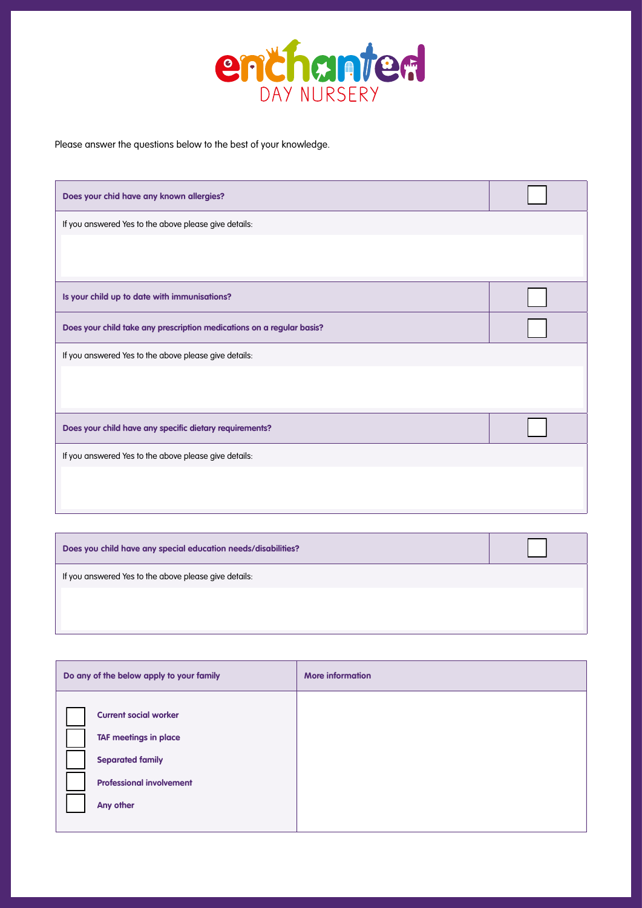

Please answer the questions below to the best of your knowledge.

| Does your chid have any known allergies?                              |  |  |  |  |
|-----------------------------------------------------------------------|--|--|--|--|
| If you answered Yes to the above please give details:                 |  |  |  |  |
|                                                                       |  |  |  |  |
| Is your child up to date with immunisations?                          |  |  |  |  |
| Does your child take any prescription medications on a regular basis? |  |  |  |  |
| If you answered Yes to the above please give details:                 |  |  |  |  |
|                                                                       |  |  |  |  |
| Does your child have any specific dietary requirements?               |  |  |  |  |
| If you answered Yes to the above please give details:                 |  |  |  |  |
|                                                                       |  |  |  |  |
|                                                                       |  |  |  |  |

| Does you child have any special education needs/disabilities? |  |
|---------------------------------------------------------------|--|
| If you answered Yes to the above please give details:         |  |
|                                                               |  |
|                                                               |  |

| Do any of the below apply to your family                                                                                                | <b>More information</b> |
|-----------------------------------------------------------------------------------------------------------------------------------------|-------------------------|
| <b>Current social worker</b><br><b>TAF meetings in place</b><br><b>Separated family</b><br><b>Professional involvement</b><br>Any other |                         |
|                                                                                                                                         |                         |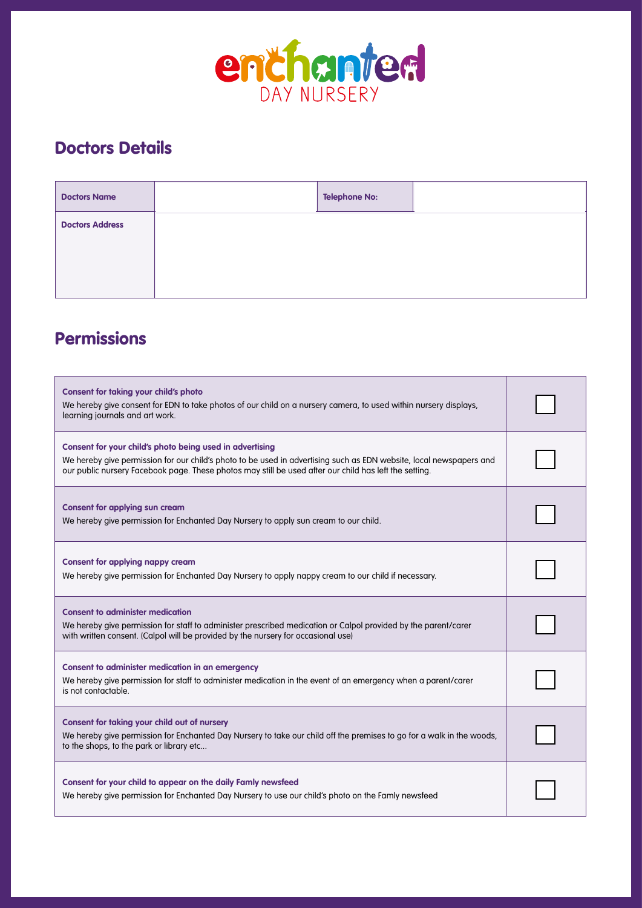

# Doctors Details

| <b>Doctors Name</b>    | <b>Telephone No:</b> |  |
|------------------------|----------------------|--|
| <b>Doctors Address</b> |                      |  |

# Permissions

| <b>Consent for taking your child's photo</b><br>We hereby give consent for EDN to take photos of our child on a nursery camera, to used within nursery displays,<br>learning journals and art work.                                                                                       |  |  |
|-------------------------------------------------------------------------------------------------------------------------------------------------------------------------------------------------------------------------------------------------------------------------------------------|--|--|
| Consent for your child's photo being used in advertising<br>We hereby give permission for our child's photo to be used in advertising such as EDN website, local newspapers and<br>our public nursery Facebook page. These photos may still be used after our child has left the setting. |  |  |
| <b>Consent for applying sun cream</b><br>We hereby give permission for Enchanted Day Nursery to apply sun cream to our child.                                                                                                                                                             |  |  |
| <b>Consent for applying nappy cream</b><br>We hereby give permission for Enchanted Day Nursery to apply nappy cream to our child if necessary.                                                                                                                                            |  |  |
| <b>Consent to administer medication</b><br>We hereby give permission for staff to administer prescribed medication or Calpol provided by the parent/carer<br>with written consent. (Calpol will be provided by the nursery for occasional use)                                            |  |  |
| Consent to administer medication in an emergency<br>We hereby give permission for staff to administer medication in the event of an emergency when a parent/carer<br>is not contactable.                                                                                                  |  |  |
| <b>Consent for taking your child out of nursery</b><br>We hereby give permission for Enchanted Day Nursery to take our child off the premises to go for a walk in the woods,<br>to the shops, to the park or library etc                                                                  |  |  |
| Consent for your child to appear on the daily Famly newsfeed<br>We hereby give permission for Enchanted Day Nursery to use our child's photo on the Famly newsfeed                                                                                                                        |  |  |